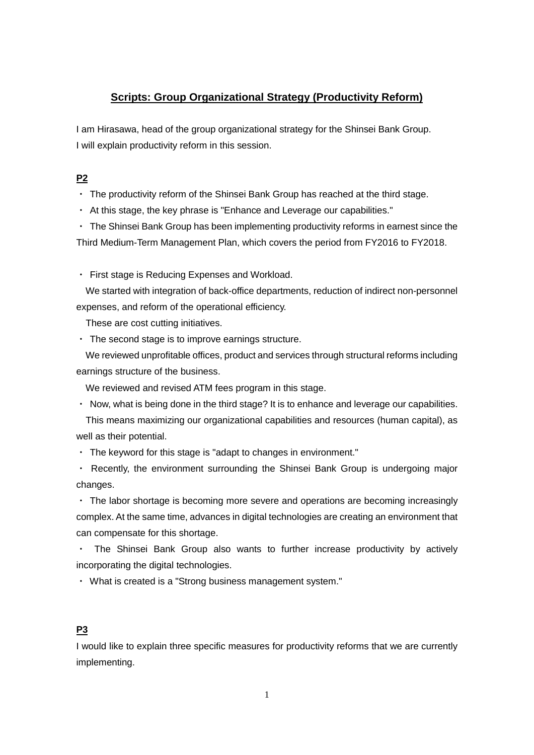# **Scripts: Group Organizational Strategy (Productivity Reform)**

I am Hirasawa, head of the group organizational strategy for the Shinsei Bank Group. I will explain productivity reform in this session.

## **P2**

- ・ The productivity reform of the Shinsei Bank Group has reached at the third stage.
- ・ At this stage, the key phrase is "Enhance and Leverage our capabilities."

・ The Shinsei Bank Group has been implementing productivity reforms in earnest since the Third Medium-Term Management Plan, which covers the period from FY2016 to FY2018.

・ First stage is Reducing Expenses and Workload.

We started with integration of back-office departments, reduction of indirect non-personnel expenses, and reform of the operational efficiency.

These are cost cutting initiatives.

・ The second stage is to improve earnings structure.

We reviewed unprofitable offices, product and services through structural reforms including earnings structure of the business.

We reviewed and revised ATM fees program in this stage.

・ Now, what is being done in the third stage? It is to enhance and leverage our capabilities.

This means maximizing our organizational capabilities and resources (human capital), as well as their potential.

・ The keyword for this stage is "adapt to changes in environment."

・ Recently, the environment surrounding the Shinsei Bank Group is undergoing major changes.

・ The labor shortage is becoming more severe and operations are becoming increasingly complex. At the same time, advances in digital technologies are creating an environment that can compensate for this shortage.

・ The Shinsei Bank Group also wants to further increase productivity by actively incorporating the digital technologies.

・ What is created is a "Strong business management system."

#### **P3**

I would like to explain three specific measures for productivity reforms that we are currently implementing.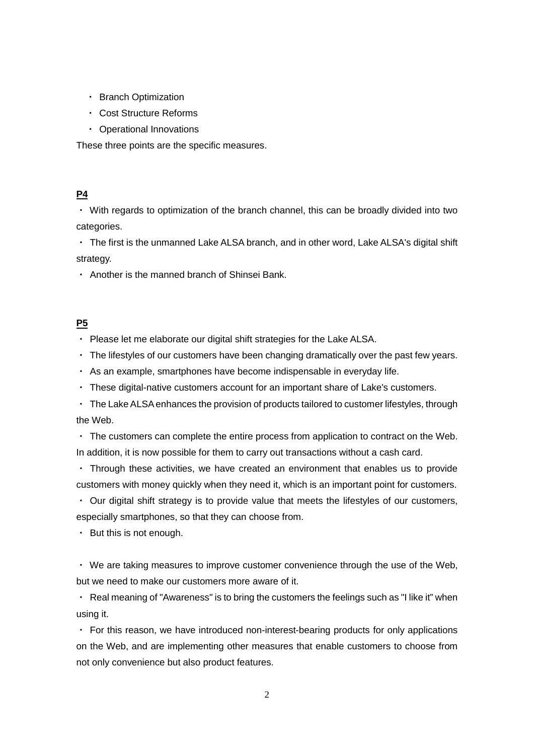- ・ Branch Optimization
- ・ Cost Structure Reforms
- ・ Operational Innovations

These three points are the specific measures.

## **P4**

・ With regards to optimization of the branch channel, this can be broadly divided into two categories.

・ The first is the unmanned Lake ALSA branch, and in other word, Lake ALSA's digital shift strategy.

・ Another is the manned branch of Shinsei Bank.

## **P5**

・ Please let me elaborate our digital shift strategies for the Lake ALSA.

・ The lifestyles of our customers have been changing dramatically over the past few years.

・ As an example, smartphones have become indispensable in everyday life.

・ These digital-native customers account for an important share of Lake's customers.

・ The Lake ALSA enhances the provision of products tailored to customer lifestyles, through the Web.

 $\cdot$  The customers can complete the entire process from application to contract on the Web. In addition, it is now possible for them to carry out transactions without a cash card.

・ Through these activities, we have created an environment that enables us to provide customers with money quickly when they need it, which is an important point for customers.

・ Our digital shift strategy is to provide value that meets the lifestyles of our customers, especially smartphones, so that they can choose from.

・ But this is not enough.

・ We are taking measures to improve customer convenience through the use of the Web, but we need to make our customers more aware of it.

・ Real meaning of "Awareness" is to bring the customers the feelings such as "I like it" when using it.

・ For this reason, we have introduced non-interest-bearing products for only applications on the Web, and are implementing other measures that enable customers to choose from not only convenience but also product features.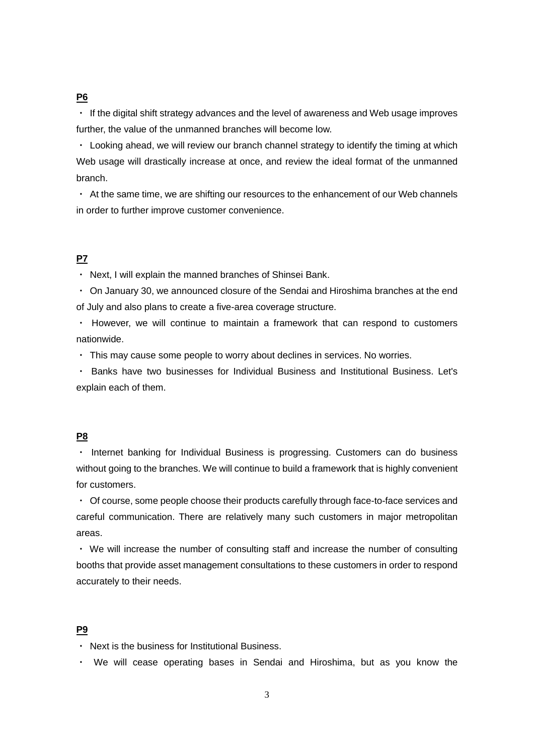## **P6**

・ If the digital shift strategy advances and the level of awareness and Web usage improves further, the value of the unmanned branches will become low.

・ Looking ahead, we will review our branch channel strategy to identify the timing at which Web usage will drastically increase at once, and review the ideal format of the unmanned branch.

・ At the same time, we are shifting our resources to the enhancement of our Web channels in order to further improve customer convenience.

#### **P7**

・ Next, I will explain the manned branches of Shinsei Bank.

・ On January 30, we announced closure of the Sendai and Hiroshima branches at the end of July and also plans to create a five-area coverage structure.

・ However, we will continue to maintain a framework that can respond to customers nationwide.

・ This may cause some people to worry about declines in services. No worries.

・ Banks have two businesses for Individual Business and Institutional Business. Let's explain each of them.

#### **P8**

・ Internet banking for Individual Business is progressing. Customers can do business without going to the branches. We will continue to build a framework that is highly convenient for customers.

・ Of course, some people choose their products carefully through face-to-face services and careful communication. There are relatively many such customers in major metropolitan areas.

・ We will increase the number of consulting staff and increase the number of consulting booths that provide asset management consultations to these customers in order to respond accurately to their needs.

#### **P9**

・ Next is the business for Institutional Business.

・ We will cease operating bases in Sendai and Hiroshima, but as you know the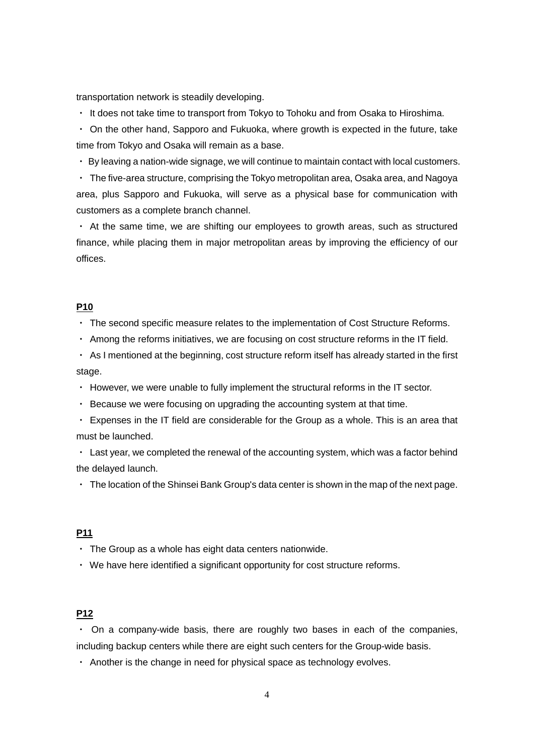transportation network is steadily developing.

・ It does not take time to transport from Tokyo to Tohoku and from Osaka to Hiroshima.

• On the other hand, Sapporo and Fukuoka, where growth is expected in the future, take time from Tokyo and Osaka will remain as a base.

・ By leaving a nation-wide signage, we will continue to maintain contact with local customers.

・ The five-area structure, comprising the Tokyo metropolitan area, Osaka area, and Nagoya area, plus Sapporo and Fukuoka, will serve as a physical base for communication with customers as a complete branch channel.

• At the same time, we are shifting our employees to growth areas, such as structured finance, while placing them in major metropolitan areas by improving the efficiency of our offices.

#### **P10**

・ The second specific measure relates to the implementation of Cost Structure Reforms.

・ Among the reforms initiatives, we are focusing on cost structure reforms in the IT field.

・ As I mentioned at the beginning, cost structure reform itself has already started in the first stage.

・ However, we were unable to fully implement the structural reforms in the IT sector.

・ Because we were focusing on upgrading the accounting system at that time.

・ Expenses in the IT field are considerable for the Group as a whole. This is an area that must be launched.

・ Last year, we completed the renewal of the accounting system, which was a factor behind the delayed launch.

・ The location of the Shinsei Bank Group's data center is shown in the map of the next page.

### **P11**

・ The Group as a whole has eight data centers nationwide.

・ We have here identified a significant opportunity for cost structure reforms.

#### **P12**

 $\cdot$  On a company-wide basis, there are roughly two bases in each of the companies, including backup centers while there are eight such centers for the Group-wide basis.

・ Another is the change in need for physical space as technology evolves.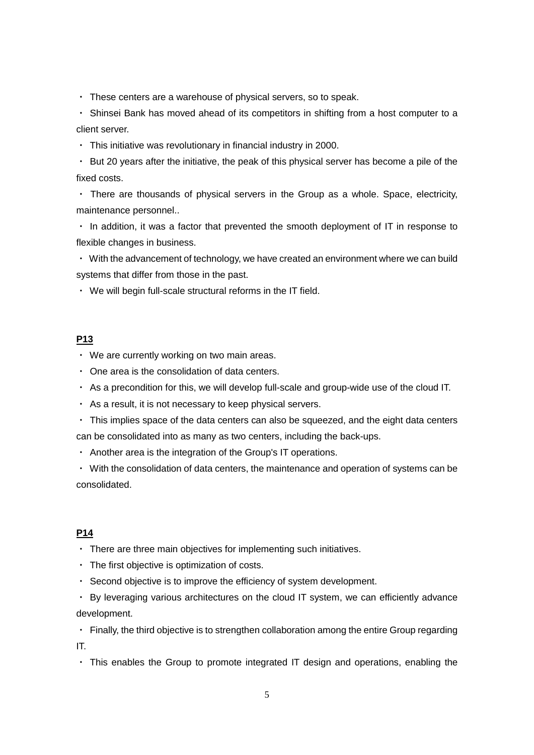・ These centers are a warehouse of physical servers, so to speak.

・ Shinsei Bank has moved ahead of its competitors in shifting from a host computer to a client server.

・ This initiative was revolutionary in financial industry in 2000.

・ But 20 years after the initiative, the peak of this physical server has become a pile of the fixed costs.

・ There are thousands of physical servers in the Group as a whole. Space, electricity, maintenance personnel..

・ In addition, it was a factor that prevented the smooth deployment of IT in response to flexible changes in business.

・ With the advancement of technology, we have created an environment where we can build systems that differ from those in the past.

・ We will begin full-scale structural reforms in the IT field.

## **P13**

- ・ We are currently working on two main areas.
- ・ One area is the consolidation of data centers.
- ・ As a precondition for this, we will develop full-scale and group-wide use of the cloud IT.
- ・ As a result, it is not necessary to keep physical servers.
- ・ This implies space of the data centers can also be squeezed, and the eight data centers can be consolidated into as many as two centers, including the back-ups.
- ・ Another area is the integration of the Group's IT operations.

・ With the consolidation of data centers, the maintenance and operation of systems can be consolidated.

#### **P14**

- ・ There are three main objectives for implementing such initiatives.
- ・ The first objective is optimization of costs.
- ・ Second objective is to improve the efficiency of system development.

・ By leveraging various architectures on the cloud IT system, we can efficiently advance development.

・ Finally, the third objective is to strengthen collaboration among the entire Group regarding IT.

・ This enables the Group to promote integrated IT design and operations, enabling the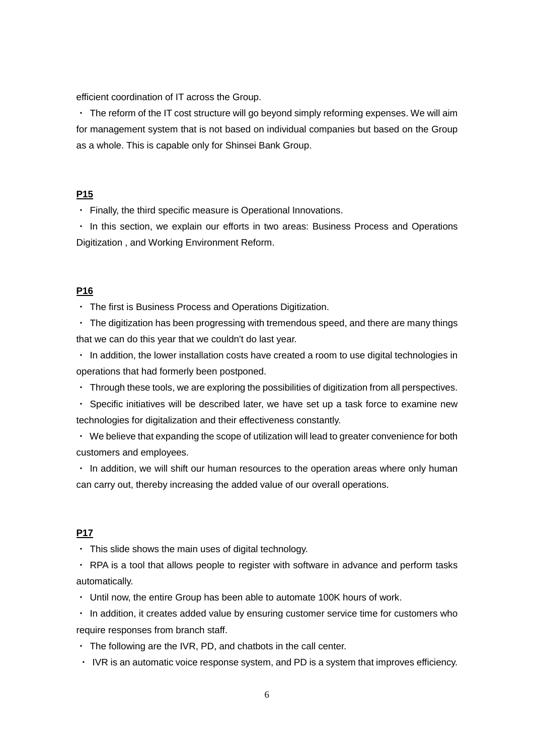efficient coordination of IT across the Group.

・ The reform of the IT cost structure will go beyond simply reforming expenses. We will aim for management system that is not based on individual companies but based on the Group as a whole. This is capable only for Shinsei Bank Group.

#### **P15**

・ Finally, the third specific measure is Operational Innovations.

・ In this section, we explain our efforts in two areas: Business Process and Operations Digitization , and Working Environment Reform.

#### **P16**

・ The first is Business Process and Operations Digitization.

・ The digitization has been progressing with tremendous speed, and there are many things that we can do this year that we couldn't do last year.

・ In addition, the lower installation costs have created a room to use digital technologies in operations that had formerly been postponed.

・ Through these tools, we are exploring the possibilities of digitization from all perspectives.

・ Specific initiatives will be described later, we have set up a task force to examine new technologies for digitalization and their effectiveness constantly.

・ We believe that expanding the scope of utilization will lead to greater convenience for both customers and employees.

・ In addition, we will shift our human resources to the operation areas where only human can carry out, thereby increasing the added value of our overall operations.

#### **P17**

・ This slide shows the main uses of digital technology.

・ RPA is a tool that allows people to register with software in advance and perform tasks automatically.

・ Until now, the entire Group has been able to automate 100K hours of work.

・ In addition, it creates added value by ensuring customer service time for customers who require responses from branch staff.

 $\cdot$  The following are the IVR, PD, and chatbots in the call center.

・ IVR is an automatic voice response system, and PD is a system that improves efficiency.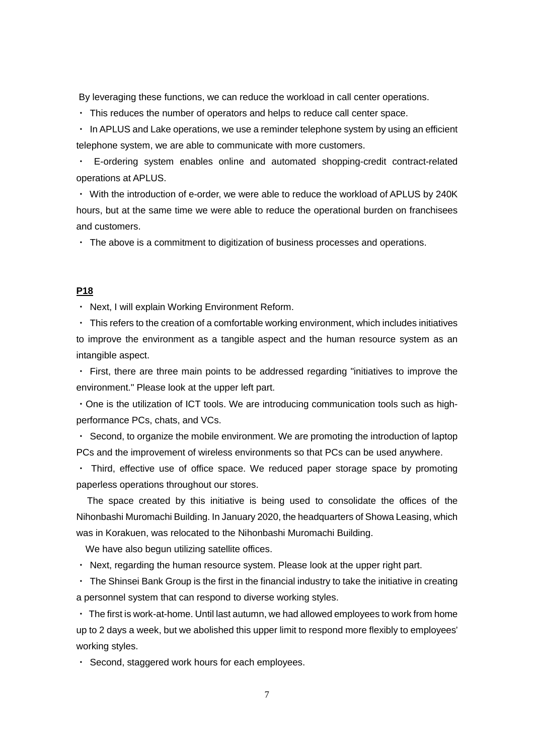By leveraging these functions, we can reduce the workload in call center operations.

・ This reduces the number of operators and helps to reduce call center space.

・ In APLUS and Lake operations, we use a reminder telephone system by using an efficient telephone system, we are able to communicate with more customers.

・ E-ordering system enables online and automated shopping-credit contract-related operations at APLUS.

・ With the introduction of e-order, we were able to reduce the workload of APLUS by 240K hours, but at the same time we were able to reduce the operational burden on franchisees and customers.

・ The above is a commitment to digitization of business processes and operations.

#### **P18**

・ Next, I will explain Working Environment Reform.

・ This refers to the creation of a comfortable working environment, which includes initiatives to improve the environment as a tangible aspect and the human resource system as an intangible aspect.

・ First, there are three main points to be addressed regarding "initiatives to improve the environment." Please look at the upper left part.

・One is the utilization of ICT tools. We are introducing communication tools such as highperformance PCs, chats, and VCs.

・ Second, to organize the mobile environment. We are promoting the introduction of laptop PCs and the improvement of wireless environments so that PCs can be used anywhere.

・ Third, effective use of office space. We reduced paper storage space by promoting paperless operations throughout our stores.

The space created by this initiative is being used to consolidate the offices of the Nihonbashi Muromachi Building. In January 2020, the headquarters of Showa Leasing, which was in Korakuen, was relocated to the Nihonbashi Muromachi Building.

We have also begun utilizing satellite offices.

・ Next, regarding the human resource system. Please look at the upper right part.

・ The Shinsei Bank Group is the first in the financial industry to take the initiative in creating a personnel system that can respond to diverse working styles.

・ The first is work-at-home. Until last autumn, we had allowed employees to work from home up to 2 days a week, but we abolished this upper limit to respond more flexibly to employees' working styles.

・ Second, staggered work hours for each employees.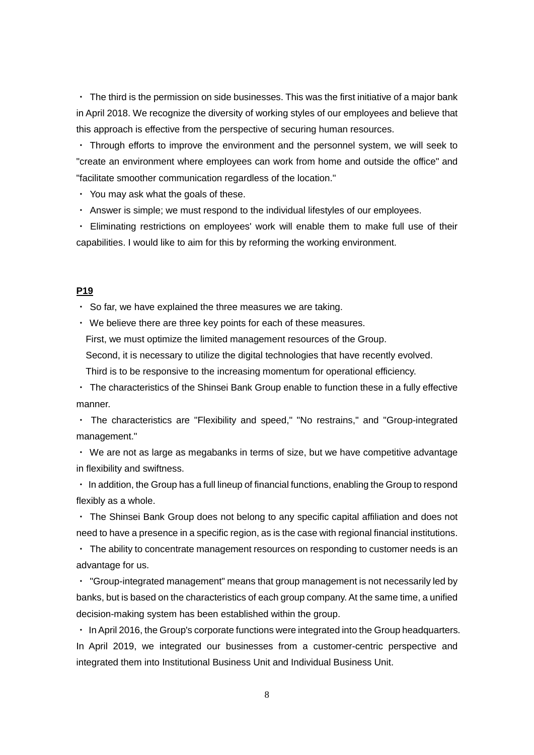・ The third is the permission on side businesses. This was the first initiative of a major bank in April 2018. We recognize the diversity of working styles of our employees and believe that this approach is effective from the perspective of securing human resources.

・ Through efforts to improve the environment and the personnel system, we will seek to "create an environment where employees can work from home and outside the office" and "facilitate smoother communication regardless of the location."

・ You may ask what the goals of these.

・ Answer is simple; we must respond to the individual lifestyles of our employees.

・ Eliminating restrictions on employees' work will enable them to make full use of their capabilities. I would like to aim for this by reforming the working environment.

## **P19**

・ So far, we have explained the three measures we are taking.

・ We believe there are three key points for each of these measures.

First, we must optimize the limited management resources of the Group.

Second, it is necessary to utilize the digital technologies that have recently evolved.

Third is to be responsive to the increasing momentum for operational efficiency.

・ The characteristics of the Shinsei Bank Group enable to function these in a fully effective manner.

・ The characteristics are "Flexibility and speed," "No restrains," and "Group-integrated management."

・ We are not as large as megabanks in terms of size, but we have competitive advantage in flexibility and swiftness.

・ In addition, the Group has a full lineup of financial functions, enabling the Group to respond flexibly as a whole.

・ The Shinsei Bank Group does not belong to any specific capital affiliation and does not need to have a presence in a specific region, as is the case with regional financial institutions.

・ The ability to concentrate management resources on responding to customer needs is an advantage for us.

・ "Group-integrated management" means that group management is not necessarily led by banks, but is based on the characteristics of each group company. At the same time, a unified decision-making system has been established within the group.

・ In April 2016, the Group's corporate functions were integrated into the Group headquarters. In April 2019, we integrated our businesses from a customer-centric perspective and integrated them into Institutional Business Unit and Individual Business Unit.